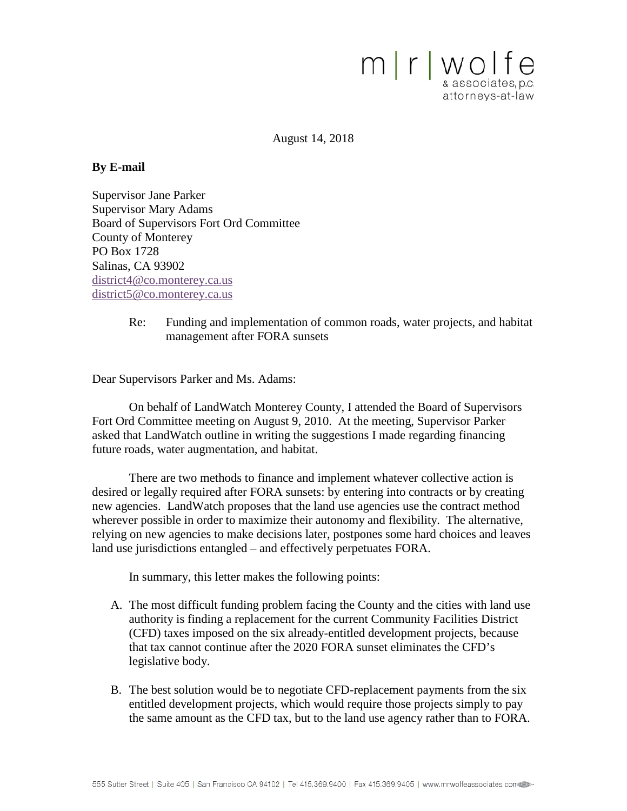

August 14, 2018

#### **By E-mail**

Supervisor Jane Parker Supervisor Mary Adams Board of Supervisors Fort Ord Committee County of Monterey PO Box 1728 Salinas, CA 93902 [district4@co.monterey.ca.us](mailto:district4@co.monterey.ca.us) [district5@co.monterey.ca.us](mailto:district5@co.monterey.ca.us)

> Re: Funding and implementation of common roads, water projects, and habitat management after FORA sunsets

Dear Supervisors Parker and Ms. Adams:

On behalf of LandWatch Monterey County, I attended the Board of Supervisors Fort Ord Committee meeting on August 9, 2010. At the meeting, Supervisor Parker asked that LandWatch outline in writing the suggestions I made regarding financing future roads, water augmentation, and habitat.

There are two methods to finance and implement whatever collective action is desired or legally required after FORA sunsets: by entering into contracts or by creating new agencies. LandWatch proposes that the land use agencies use the contract method wherever possible in order to maximize their autonomy and flexibility. The alternative, relying on new agencies to make decisions later, postpones some hard choices and leaves land use jurisdictions entangled – and effectively perpetuates FORA.

In summary, this letter makes the following points:

- A. The most difficult funding problem facing the County and the cities with land use authority is finding a replacement for the current Community Facilities District (CFD) taxes imposed on the six already-entitled development projects, because that tax cannot continue after the 2020 FORA sunset eliminates the CFD's legislative body.
- B. The best solution would be to negotiate CFD-replacement payments from the six entitled development projects, which would require those projects simply to pay the same amount as the CFD tax, but to the land use agency rather than to FORA.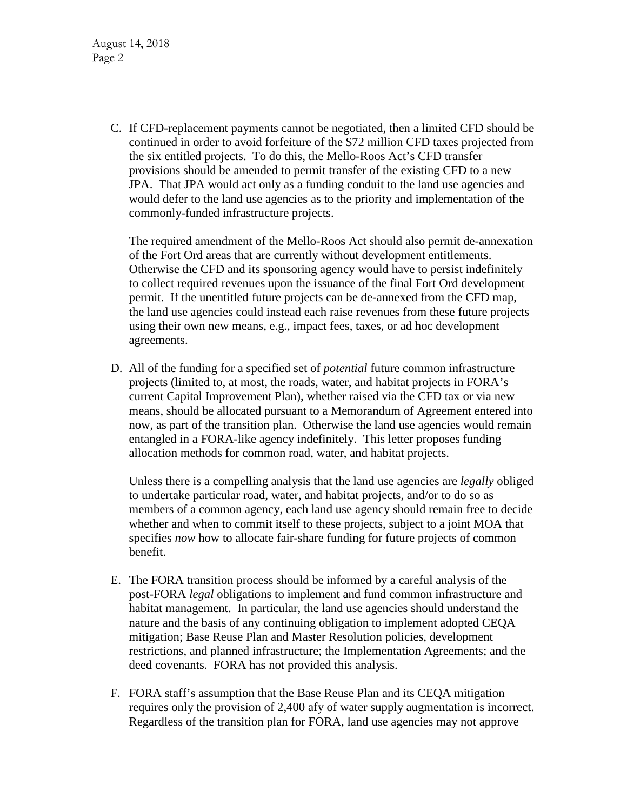C. If CFD-replacement payments cannot be negotiated, then a limited CFD should be continued in order to avoid forfeiture of the \$72 million CFD taxes projected from the six entitled projects. To do this, the Mello-Roos Act's CFD transfer provisions should be amended to permit transfer of the existing CFD to a new JPA. That JPA would act only as a funding conduit to the land use agencies and would defer to the land use agencies as to the priority and implementation of the commonly-funded infrastructure projects.

The required amendment of the Mello-Roos Act should also permit de-annexation of the Fort Ord areas that are currently without development entitlements. Otherwise the CFD and its sponsoring agency would have to persist indefinitely to collect required revenues upon the issuance of the final Fort Ord development permit. If the unentitled future projects can be de-annexed from the CFD map, the land use agencies could instead each raise revenues from these future projects using their own new means, e.g., impact fees, taxes, or ad hoc development agreements.

D. All of the funding for a specified set of *potential* future common infrastructure projects (limited to, at most, the roads, water, and habitat projects in FORA's current Capital Improvement Plan), whether raised via the CFD tax or via new means, should be allocated pursuant to a Memorandum of Agreement entered into now, as part of the transition plan. Otherwise the land use agencies would remain entangled in a FORA-like agency indefinitely. This letter proposes funding allocation methods for common road, water, and habitat projects.

Unless there is a compelling analysis that the land use agencies are *legally* obliged to undertake particular road, water, and habitat projects, and/or to do so as members of a common agency, each land use agency should remain free to decide whether and when to commit itself to these projects, subject to a joint MOA that specifies *now* how to allocate fair-share funding for future projects of common benefit.

- E. The FORA transition process should be informed by a careful analysis of the post-FORA *legal* obligations to implement and fund common infrastructure and habitat management. In particular, the land use agencies should understand the nature and the basis of any continuing obligation to implement adopted CEQA mitigation; Base Reuse Plan and Master Resolution policies, development restrictions, and planned infrastructure; the Implementation Agreements; and the deed covenants. FORA has not provided this analysis.
- F. FORA staff's assumption that the Base Reuse Plan and its CEQA mitigation requires only the provision of 2,400 afy of water supply augmentation is incorrect. Regardless of the transition plan for FORA, land use agencies may not approve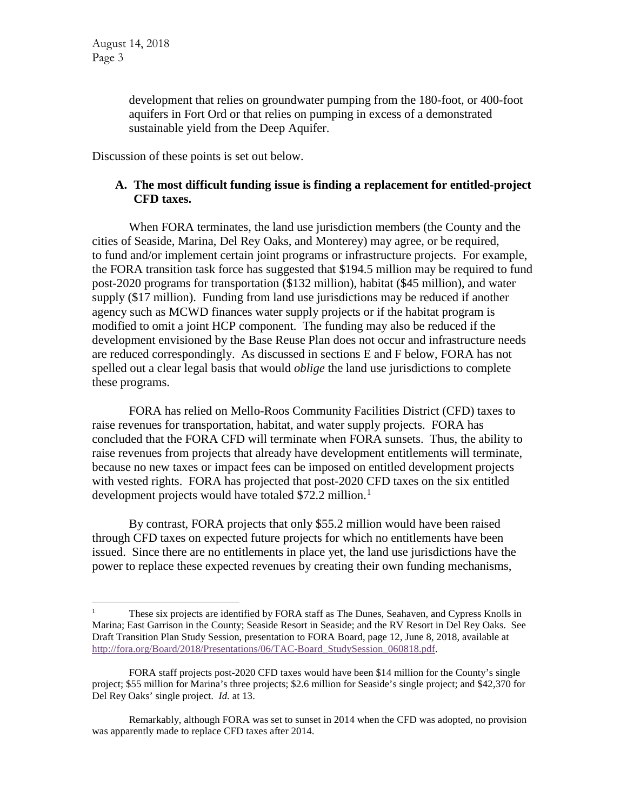development that relies on groundwater pumping from the 180-foot, or 400-foot aquifers in Fort Ord or that relies on pumping in excess of a demonstrated sustainable yield from the Deep Aquifer.

Discussion of these points is set out below.

# **A. The most difficult funding issue is finding a replacement for entitled-project CFD taxes.**

When FORA terminates, the land use jurisdiction members (the County and the cities of Seaside, Marina, Del Rey Oaks, and Monterey) may agree, or be required, to fund and/or implement certain joint programs or infrastructure projects. For example, the FORA transition task force has suggested that \$194.5 million may be required to fund post-2020 programs for transportation (\$132 million), habitat (\$45 million), and water supply (\$17 million). Funding from land use jurisdictions may be reduced if another agency such as MCWD finances water supply projects or if the habitat program is modified to omit a joint HCP component. The funding may also be reduced if the development envisioned by the Base Reuse Plan does not occur and infrastructure needs are reduced correspondingly. As discussed in sections E and F below, FORA has not spelled out a clear legal basis that would *oblige* the land use jurisdictions to complete these programs.

FORA has relied on Mello-Roos Community Facilities District (CFD) taxes to raise revenues for transportation, habitat, and water supply projects. FORA has concluded that the FORA CFD will terminate when FORA sunsets. Thus, the ability to raise revenues from projects that already have development entitlements will terminate, because no new taxes or impact fees can be imposed on entitled development projects with vested rights. FORA has projected that post-2020 CFD taxes on the six entitled development projects would have totaled \$72.2 million.<sup>[1](#page-2-0)</sup>

By contrast, FORA projects that only \$55.2 million would have been raised through CFD taxes on expected future projects for which no entitlements have been issued. Since there are no entitlements in place yet, the land use jurisdictions have the power to replace these expected revenues by creating their own funding mechanisms,

<span id="page-2-0"></span> $\frac{1}{1}$  $\frac{1}{1}$  These six projects are identified by FORA staff as The Dunes, Seahaven, and Cypress Knolls in Marina; East Garrison in the County; Seaside Resort in Seaside; and the RV Resort in Del Rey Oaks. See Draft Transition Plan Study Session, presentation to FORA Board, page 12, June 8, 2018, available at http://fora.org/Board/2018/Presentations/06/TAC-Board StudySession 060818.pdf.

FORA staff projects post-2020 CFD taxes would have been \$14 million for the County's single project; \$55 million for Marina's three projects; \$2.6 million for Seaside's single project; and \$42,370 for Del Rey Oaks' single project. *Id.* at 13.

Remarkably, although FORA was set to sunset in 2014 when the CFD was adopted, no provision was apparently made to replace CFD taxes after 2014.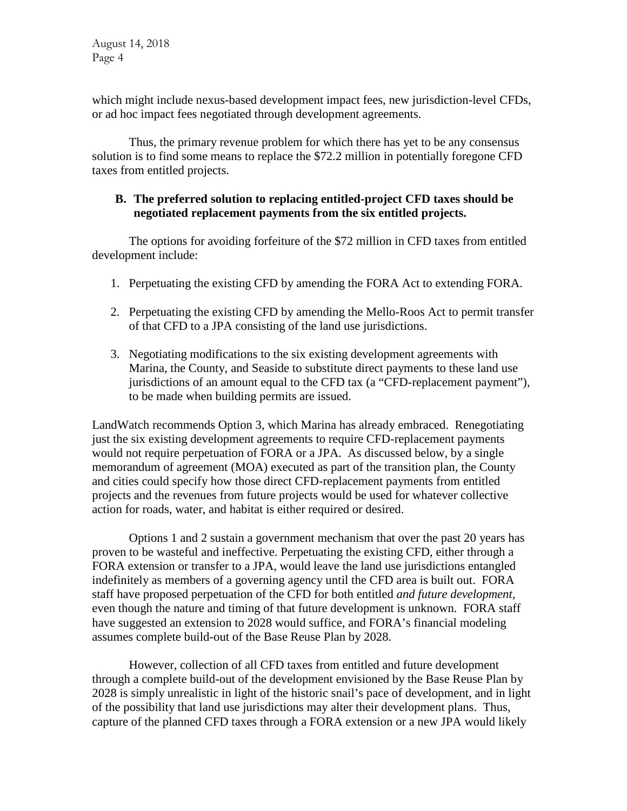which might include nexus-based development impact fees, new jurisdiction-level CFDs, or ad hoc impact fees negotiated through development agreements.

Thus, the primary revenue problem for which there has yet to be any consensus solution is to find some means to replace the \$72.2 million in potentially foregone CFD taxes from entitled projects.

# **B. The preferred solution to replacing entitled-project CFD taxes should be negotiated replacement payments from the six entitled projects.**

The options for avoiding forfeiture of the \$72 million in CFD taxes from entitled development include:

- 1. Perpetuating the existing CFD by amending the FORA Act to extending FORA.
- 2. Perpetuating the existing CFD by amending the Mello-Roos Act to permit transfer of that CFD to a JPA consisting of the land use jurisdictions.
- 3. Negotiating modifications to the six existing development agreements with Marina, the County, and Seaside to substitute direct payments to these land use jurisdictions of an amount equal to the CFD tax (a "CFD-replacement payment"), to be made when building permits are issued.

LandWatch recommends Option 3, which Marina has already embraced. Renegotiating just the six existing development agreements to require CFD-replacement payments would not require perpetuation of FORA or a JPA. As discussed below, by a single memorandum of agreement (MOA) executed as part of the transition plan, the County and cities could specify how those direct CFD-replacement payments from entitled projects and the revenues from future projects would be used for whatever collective action for roads, water, and habitat is either required or desired.

Options 1 and 2 sustain a government mechanism that over the past 20 years has proven to be wasteful and ineffective. Perpetuating the existing CFD, either through a FORA extension or transfer to a JPA, would leave the land use jurisdictions entangled indefinitely as members of a governing agency until the CFD area is built out. FORA staff have proposed perpetuation of the CFD for both entitled *and future development,* even though the nature and timing of that future development is unknown. FORA staff have suggested an extension to 2028 would suffice, and FORA's financial modeling assumes complete build-out of the Base Reuse Plan by 2028.

However, collection of all CFD taxes from entitled and future development through a complete build-out of the development envisioned by the Base Reuse Plan by 2028 is simply unrealistic in light of the historic snail's pace of development, and in light of the possibility that land use jurisdictions may alter their development plans. Thus, capture of the planned CFD taxes through a FORA extension or a new JPA would likely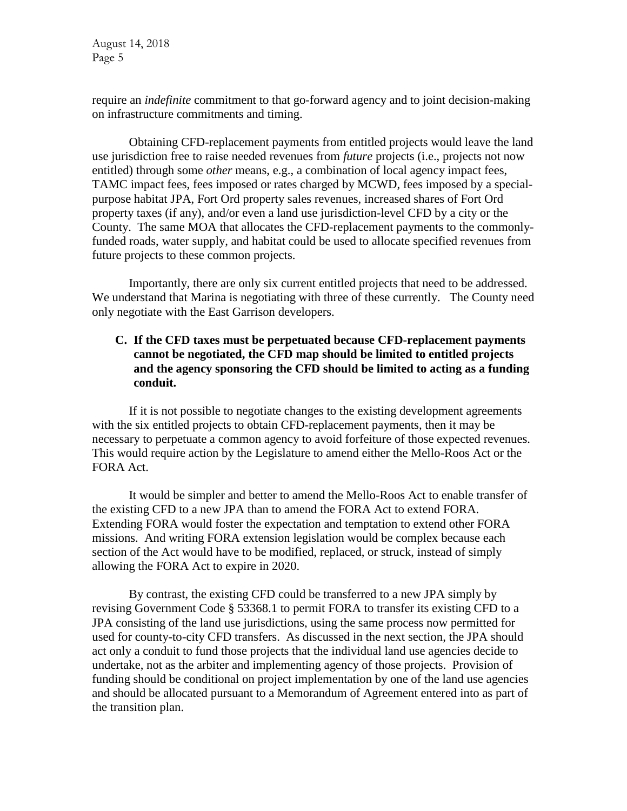require an *indefinite* commitment to that go-forward agency and to joint decision-making on infrastructure commitments and timing.

Obtaining CFD-replacement payments from entitled projects would leave the land use jurisdiction free to raise needed revenues from *future* projects (i.e., projects not now entitled) through some *other* means, e.g., a combination of local agency impact fees, TAMC impact fees, fees imposed or rates charged by MCWD, fees imposed by a specialpurpose habitat JPA, Fort Ord property sales revenues, increased shares of Fort Ord property taxes (if any), and/or even a land use jurisdiction-level CFD by a city or the County. The same MOA that allocates the CFD-replacement payments to the commonlyfunded roads, water supply, and habitat could be used to allocate specified revenues from future projects to these common projects.

Importantly, there are only six current entitled projects that need to be addressed. We understand that Marina is negotiating with three of these currently. The County need only negotiate with the East Garrison developers.

# **C. If the CFD taxes must be perpetuated because CFD-replacement payments cannot be negotiated, the CFD map should be limited to entitled projects and the agency sponsoring the CFD should be limited to acting as a funding conduit.**

If it is not possible to negotiate changes to the existing development agreements with the six entitled projects to obtain CFD-replacement payments, then it may be necessary to perpetuate a common agency to avoid forfeiture of those expected revenues. This would require action by the Legislature to amend either the Mello-Roos Act or the FORA Act.

It would be simpler and better to amend the Mello-Roos Act to enable transfer of the existing CFD to a new JPA than to amend the FORA Act to extend FORA. Extending FORA would foster the expectation and temptation to extend other FORA missions. And writing FORA extension legislation would be complex because each section of the Act would have to be modified, replaced, or struck, instead of simply allowing the FORA Act to expire in 2020.

By contrast, the existing CFD could be transferred to a new JPA simply by revising Government Code § 53368.1 to permit FORA to transfer its existing CFD to a JPA consisting of the land use jurisdictions, using the same process now permitted for used for county-to-city CFD transfers. As discussed in the next section, the JPA should act only a conduit to fund those projects that the individual land use agencies decide to undertake, not as the arbiter and implementing agency of those projects. Provision of funding should be conditional on project implementation by one of the land use agencies and should be allocated pursuant to a Memorandum of Agreement entered into as part of the transition plan.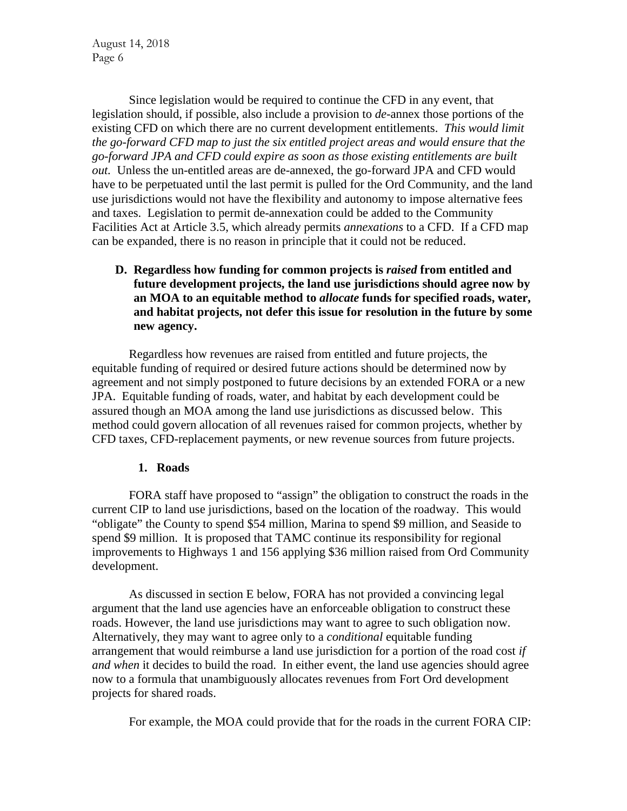Since legislation would be required to continue the CFD in any event, that legislation should, if possible, also include a provision to *de*-annex those portions of the existing CFD on which there are no current development entitlements. *This would limit the go-forward CFD map to just the six entitled project areas and would ensure that the go-forward JPA and CFD could expire as soon as those existing entitlements are built out.* Unless the un-entitled areas are de-annexed, the go-forward JPA and CFD would have to be perpetuated until the last permit is pulled for the Ord Community, and the land use jurisdictions would not have the flexibility and autonomy to impose alternative fees and taxes. Legislation to permit de-annexation could be added to the Community Facilities Act at Article 3.5, which already permits *annexations* to a CFD. If a CFD map can be expanded, there is no reason in principle that it could not be reduced.

**D. Regardless how funding for common projects is** *raised* **from entitled and future development projects, the land use jurisdictions should agree now by an MOA to an equitable method to** *allocate* **funds for specified roads, water, and habitat projects, not defer this issue for resolution in the future by some new agency.** 

Regardless how revenues are raised from entitled and future projects, the equitable funding of required or desired future actions should be determined now by agreement and not simply postponed to future decisions by an extended FORA or a new JPA. Equitable funding of roads, water, and habitat by each development could be assured though an MOA among the land use jurisdictions as discussed below. This method could govern allocation of all revenues raised for common projects, whether by CFD taxes, CFD-replacement payments, or new revenue sources from future projects.

#### **1. Roads**

FORA staff have proposed to "assign" the obligation to construct the roads in the current CIP to land use jurisdictions, based on the location of the roadway. This would "obligate" the County to spend \$54 million, Marina to spend \$9 million, and Seaside to spend \$9 million. It is proposed that TAMC continue its responsibility for regional improvements to Highways 1 and 156 applying \$36 million raised from Ord Community development.

As discussed in section E below, FORA has not provided a convincing legal argument that the land use agencies have an enforceable obligation to construct these roads. However, the land use jurisdictions may want to agree to such obligation now. Alternatively, they may want to agree only to a *conditional* equitable funding arrangement that would reimburse a land use jurisdiction for a portion of the road cost *if and when* it decides to build the road. In either event, the land use agencies should agree now to a formula that unambiguously allocates revenues from Fort Ord development projects for shared roads.

For example, the MOA could provide that for the roads in the current FORA CIP: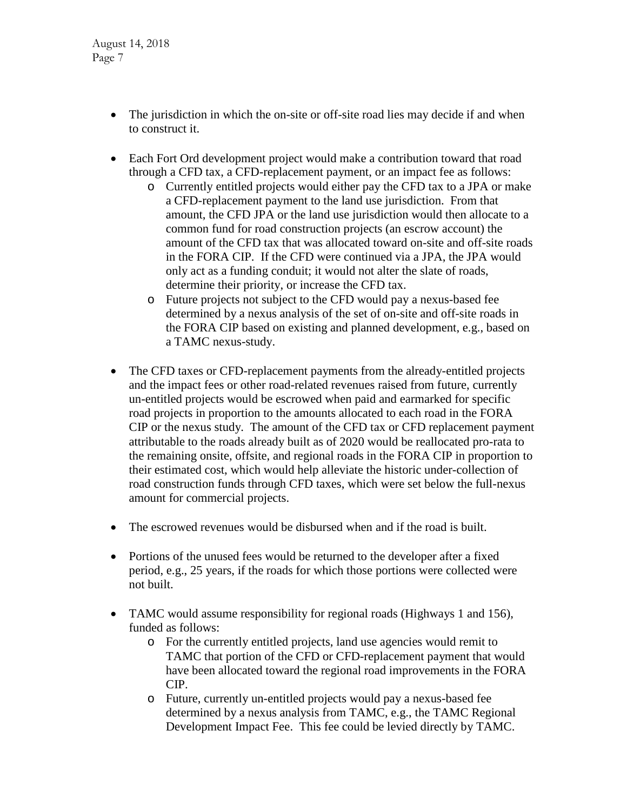- The jurisdiction in which the on-site or off-site road lies may decide if and when to construct it.
- Each Fort Ord development project would make a contribution toward that road through a CFD tax, a CFD-replacement payment, or an impact fee as follows:
	- o Currently entitled projects would either pay the CFD tax to a JPA or make a CFD-replacement payment to the land use jurisdiction. From that amount, the CFD JPA or the land use jurisdiction would then allocate to a common fund for road construction projects (an escrow account) the amount of the CFD tax that was allocated toward on-site and off-site roads in the FORA CIP. If the CFD were continued via a JPA, the JPA would only act as a funding conduit; it would not alter the slate of roads, determine their priority, or increase the CFD tax.
	- o Future projects not subject to the CFD would pay a nexus-based fee determined by a nexus analysis of the set of on-site and off-site roads in the FORA CIP based on existing and planned development, e.g., based on a TAMC nexus-study.
- The CFD taxes or CFD-replacement payments from the already-entitled projects and the impact fees or other road-related revenues raised from future, currently un-entitled projects would be escrowed when paid and earmarked for specific road projects in proportion to the amounts allocated to each road in the FORA CIP or the nexus study. The amount of the CFD tax or CFD replacement payment attributable to the roads already built as of 2020 would be reallocated pro-rata to the remaining onsite, offsite, and regional roads in the FORA CIP in proportion to their estimated cost, which would help alleviate the historic under-collection of road construction funds through CFD taxes, which were set below the full-nexus amount for commercial projects.
- The escrowed revenues would be disbursed when and if the road is built.
- Portions of the unused fees would be returned to the developer after a fixed period, e.g., 25 years, if the roads for which those portions were collected were not built.
- TAMC would assume responsibility for regional roads (Highways 1 and 156), funded as follows:
	- o For the currently entitled projects, land use agencies would remit to TAMC that portion of the CFD or CFD-replacement payment that would have been allocated toward the regional road improvements in the FORA CIP.
	- o Future, currently un-entitled projects would pay a nexus-based fee determined by a nexus analysis from TAMC, e.g., the TAMC Regional Development Impact Fee. This fee could be levied directly by TAMC.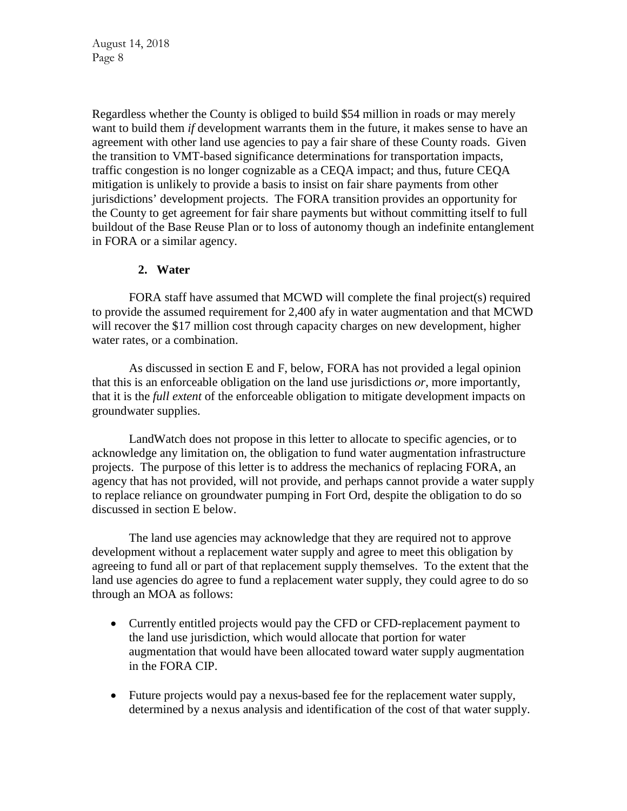Regardless whether the County is obliged to build \$54 million in roads or may merely want to build them *if* development warrants them in the future, it makes sense to have an agreement with other land use agencies to pay a fair share of these County roads. Given the transition to VMT-based significance determinations for transportation impacts, traffic congestion is no longer cognizable as a CEQA impact; and thus, future CEQA mitigation is unlikely to provide a basis to insist on fair share payments from other jurisdictions' development projects. The FORA transition provides an opportunity for the County to get agreement for fair share payments but without committing itself to full buildout of the Base Reuse Plan or to loss of autonomy though an indefinite entanglement in FORA or a similar agency.

### **2. Water**

FORA staff have assumed that MCWD will complete the final project(s) required to provide the assumed requirement for 2,400 afy in water augmentation and that MCWD will recover the \$17 million cost through capacity charges on new development, higher water rates, or a combination.

As discussed in section E and F, below, FORA has not provided a legal opinion that this is an enforceable obligation on the land use jurisdictions *or*, more importantly, that it is the *full extent* of the enforceable obligation to mitigate development impacts on groundwater supplies.

LandWatch does not propose in this letter to allocate to specific agencies, or to acknowledge any limitation on, the obligation to fund water augmentation infrastructure projects. The purpose of this letter is to address the mechanics of replacing FORA, an agency that has not provided, will not provide, and perhaps cannot provide a water supply to replace reliance on groundwater pumping in Fort Ord, despite the obligation to do so discussed in section E below.

The land use agencies may acknowledge that they are required not to approve development without a replacement water supply and agree to meet this obligation by agreeing to fund all or part of that replacement supply themselves. To the extent that the land use agencies do agree to fund a replacement water supply, they could agree to do so through an MOA as follows:

- Currently entitled projects would pay the CFD or CFD-replacement payment to the land use jurisdiction, which would allocate that portion for water augmentation that would have been allocated toward water supply augmentation in the FORA CIP.
- Future projects would pay a nexus-based fee for the replacement water supply, determined by a nexus analysis and identification of the cost of that water supply.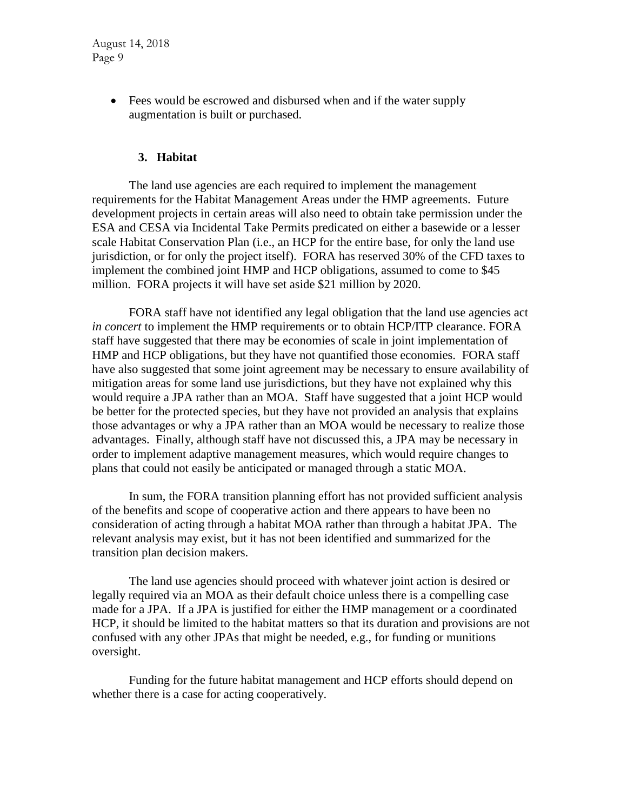> • Fees would be escrowed and disbursed when and if the water supply augmentation is built or purchased.

#### **3. Habitat**

The land use agencies are each required to implement the management requirements for the Habitat Management Areas under the HMP agreements. Future development projects in certain areas will also need to obtain take permission under the ESA and CESA via Incidental Take Permits predicated on either a basewide or a lesser scale Habitat Conservation Plan (i.e., an HCP for the entire base, for only the land use jurisdiction, or for only the project itself). FORA has reserved 30% of the CFD taxes to implement the combined joint HMP and HCP obligations, assumed to come to \$45 million. FORA projects it will have set aside \$21 million by 2020.

FORA staff have not identified any legal obligation that the land use agencies act *in concert* to implement the HMP requirements or to obtain HCP/ITP clearance. FORA staff have suggested that there may be economies of scale in joint implementation of HMP and HCP obligations, but they have not quantified those economies. FORA staff have also suggested that some joint agreement may be necessary to ensure availability of mitigation areas for some land use jurisdictions, but they have not explained why this would require a JPA rather than an MOA. Staff have suggested that a joint HCP would be better for the protected species, but they have not provided an analysis that explains those advantages or why a JPA rather than an MOA would be necessary to realize those advantages. Finally, although staff have not discussed this, a JPA may be necessary in order to implement adaptive management measures, which would require changes to plans that could not easily be anticipated or managed through a static MOA.

In sum, the FORA transition planning effort has not provided sufficient analysis of the benefits and scope of cooperative action and there appears to have been no consideration of acting through a habitat MOA rather than through a habitat JPA. The relevant analysis may exist, but it has not been identified and summarized for the transition plan decision makers.

The land use agencies should proceed with whatever joint action is desired or legally required via an MOA as their default choice unless there is a compelling case made for a JPA. If a JPA is justified for either the HMP management or a coordinated HCP, it should be limited to the habitat matters so that its duration and provisions are not confused with any other JPAs that might be needed, e.g., for funding or munitions oversight.

Funding for the future habitat management and HCP efforts should depend on whether there is a case for acting cooperatively.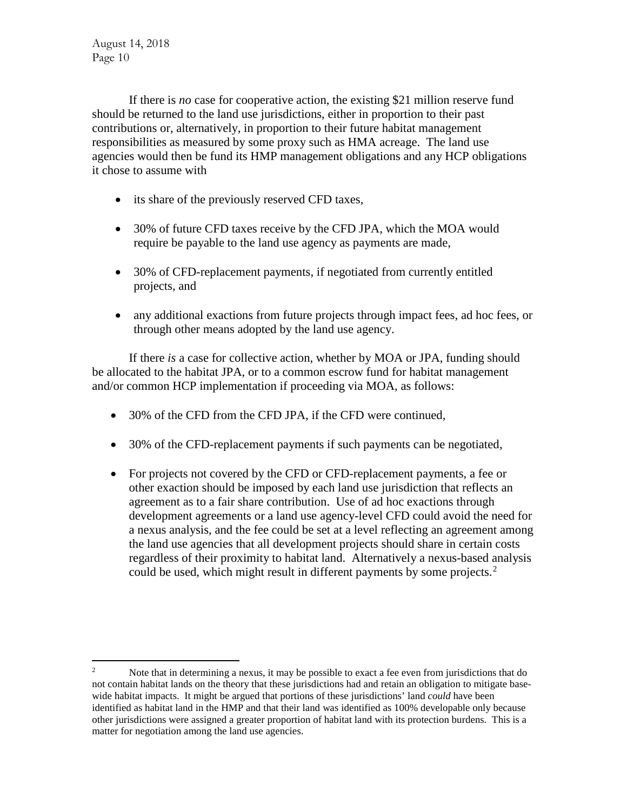If there is *no* case for cooperative action, the existing \$21 million reserve fund should be returned to the land use jurisdictions, either in proportion to their past contributions or, alternatively, in proportion to their future habitat management responsibilities as measured by some proxy such as HMA acreage. The land use agencies would then be fund its HMP management obligations and any HCP obligations it chose to assume with

- its share of the previously reserved CFD taxes,
- 30% of future CFD taxes receive by the CFD JPA, which the MOA would require be payable to the land use agency as payments are made,
- 30% of CFD-replacement payments, if negotiated from currently entitled projects, and
- any additional exactions from future projects through impact fees, ad hoc fees, or through other means adopted by the land use agency.

If there *is* a case for collective action, whether by MOA or JPA, funding should be allocated to the habitat JPA, or to a common escrow fund for habitat management and/or common HCP implementation if proceeding via MOA, as follows:

- 30% of the CFD from the CFD JPA, if the CFD were continued,
- 30% of the CFD-replacement payments if such payments can be negotiated,
- For projects not covered by the CFD or CFD-replacement payments, a fee or other exaction should be imposed by each land use jurisdiction that reflects an agreement as to a fair share contribution. Use of ad hoc exactions through development agreements or a land use agency-level CFD could avoid the need for a nexus analysis, and the fee could be set at a level reflecting an agreement among the land use agencies that all development projects should share in certain costs regardless of their proximity to habitat land. Alternatively a nexus-based analysis could be used, which might result in different payments by some projects.<sup>[2](#page-9-0)</sup>

<span id="page-9-0"></span><sup>&</sup>lt;sup>2</sup> Note that in determining a nexus, it may be possible to exact a fee even from jurisdictions that do not contain habitat lands on the theory that these jurisdictions had and retain an obligation to mitigate basewide habitat impacts. It might be argued that portions of these jurisdictions' land *could* have been identified as habitat land in the HMP and that their land was identified as 100% developable only because other jurisdictions were assigned a greater proportion of habitat land with its protection burdens. This is a matter for negotiation among the land use agencies.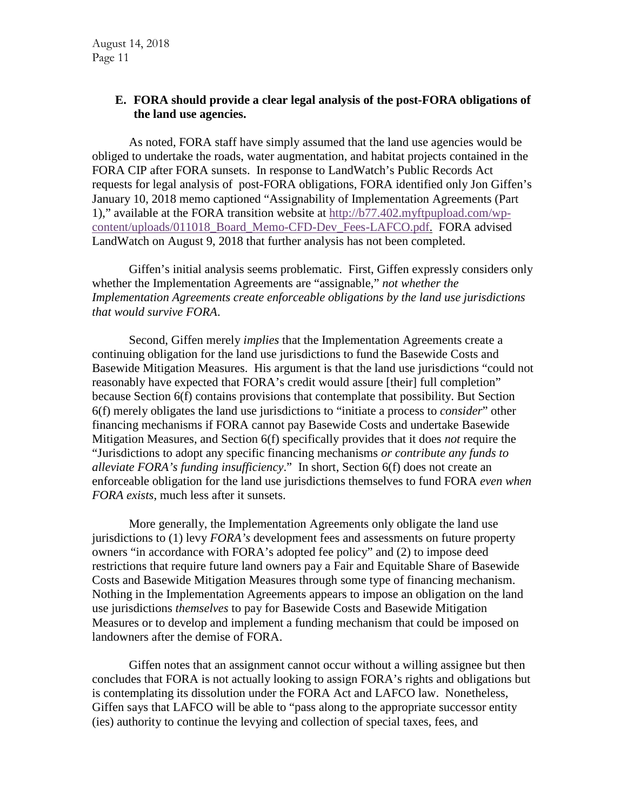### **E. FORA should provide a clear legal analysis of the post-FORA obligations of the land use agencies.**

As noted, FORA staff have simply assumed that the land use agencies would be obliged to undertake the roads, water augmentation, and habitat projects contained in the FORA CIP after FORA sunsets. In response to LandWatch's Public Records Act requests for legal analysis of post-FORA obligations, FORA identified only Jon Giffen's January 10, 2018 memo captioned "Assignability of Implementation Agreements (Part 1)," available at the FORA transition website at [http://b77.402.myftpupload.com/wp](http://b77.402.myftpupload.com/wp-content/uploads/011018_Board_Memo-CFD-Dev_Fees-LAFCO.pdf)[content/uploads/011018\\_Board\\_Memo-CFD-Dev\\_Fees-LAFCO.pdf.](http://b77.402.myftpupload.com/wp-content/uploads/011018_Board_Memo-CFD-Dev_Fees-LAFCO.pdf) FORA advised LandWatch on August 9, 2018 that further analysis has not been completed.

Giffen's initial analysis seems problematic. First, Giffen expressly considers only whether the Implementation Agreements are "assignable," *not whether the Implementation Agreements create enforceable obligations by the land use jurisdictions that would survive FORA*.

Second, Giffen merely *implies* that the Implementation Agreements create a continuing obligation for the land use jurisdictions to fund the Basewide Costs and Basewide Mitigation Measures. His argument is that the land use jurisdictions "could not reasonably have expected that FORA's credit would assure [their] full completion" because Section 6(f) contains provisions that contemplate that possibility. But Section 6(f) merely obligates the land use jurisdictions to "initiate a process to *consider*" other financing mechanisms if FORA cannot pay Basewide Costs and undertake Basewide Mitigation Measures, and Section 6(f) specifically provides that it does *not* require the "Jurisdictions to adopt any specific financing mechanisms *or contribute any funds to alleviate FORA's funding insufficiency*." In short, Section 6(f) does not create an enforceable obligation for the land use jurisdictions themselves to fund FORA *even when FORA exists*, much less after it sunsets.

More generally, the Implementation Agreements only obligate the land use jurisdictions to (1) levy *FORA's* development fees and assessments on future property owners "in accordance with FORA's adopted fee policy" and (2) to impose deed restrictions that require future land owners pay a Fair and Equitable Share of Basewide Costs and Basewide Mitigation Measures through some type of financing mechanism. Nothing in the Implementation Agreements appears to impose an obligation on the land use jurisdictions *themselves* to pay for Basewide Costs and Basewide Mitigation Measures or to develop and implement a funding mechanism that could be imposed on landowners after the demise of FORA.

Giffen notes that an assignment cannot occur without a willing assignee but then concludes that FORA is not actually looking to assign FORA's rights and obligations but is contemplating its dissolution under the FORA Act and LAFCO law. Nonetheless, Giffen says that LAFCO will be able to "pass along to the appropriate successor entity (ies) authority to continue the levying and collection of special taxes, fees, and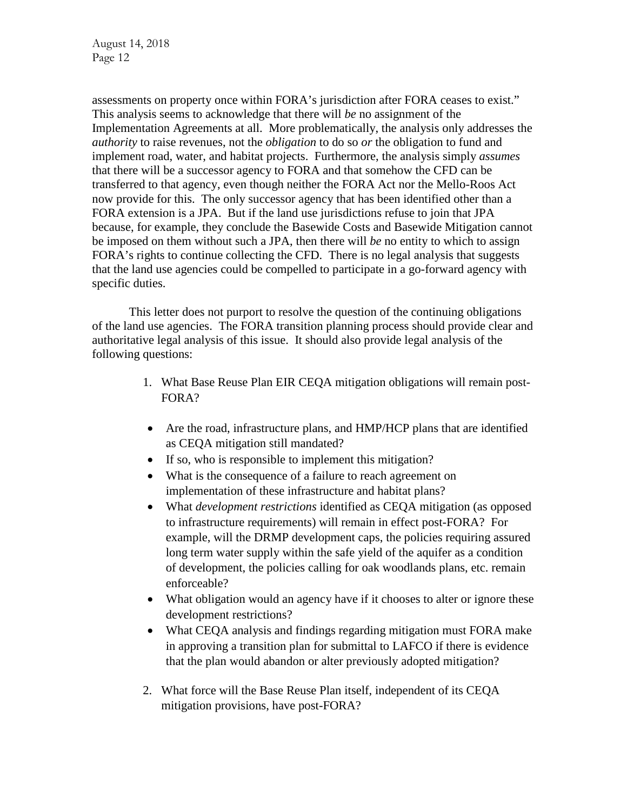assessments on property once within FORA's jurisdiction after FORA ceases to exist." This analysis seems to acknowledge that there will *be* no assignment of the Implementation Agreements at all. More problematically, the analysis only addresses the *authority* to raise revenues, not the *obligation* to do so *or* the obligation to fund and implement road, water, and habitat projects. Furthermore, the analysis simply *assumes* that there will be a successor agency to FORA and that somehow the CFD can be transferred to that agency, even though neither the FORA Act nor the Mello-Roos Act now provide for this. The only successor agency that has been identified other than a FORA extension is a JPA. But if the land use jurisdictions refuse to join that JPA because, for example, they conclude the Basewide Costs and Basewide Mitigation cannot be imposed on them without such a JPA, then there will *be* no entity to which to assign FORA's rights to continue collecting the CFD. There is no legal analysis that suggests that the land use agencies could be compelled to participate in a go-forward agency with specific duties.

This letter does not purport to resolve the question of the continuing obligations of the land use agencies. The FORA transition planning process should provide clear and authoritative legal analysis of this issue. It should also provide legal analysis of the following questions:

- 1. What Base Reuse Plan EIR CEQA mitigation obligations will remain post-FORA?
- Are the road, infrastructure plans, and HMP/HCP plans that are identified as CEQA mitigation still mandated?
- If so, who is responsible to implement this mitigation?
- What is the consequence of a failure to reach agreement on implementation of these infrastructure and habitat plans?
- What *development restrictions* identified as CEQA mitigation (as opposed to infrastructure requirements) will remain in effect post-FORA? For example, will the DRMP development caps, the policies requiring assured long term water supply within the safe yield of the aquifer as a condition of development, the policies calling for oak woodlands plans, etc. remain enforceable?
- What obligation would an agency have if it chooses to alter or ignore these development restrictions?
- What CEQA analysis and findings regarding mitigation must FORA make in approving a transition plan for submittal to LAFCO if there is evidence that the plan would abandon or alter previously adopted mitigation?
- 2. What force will the Base Reuse Plan itself, independent of its CEQA mitigation provisions, have post-FORA?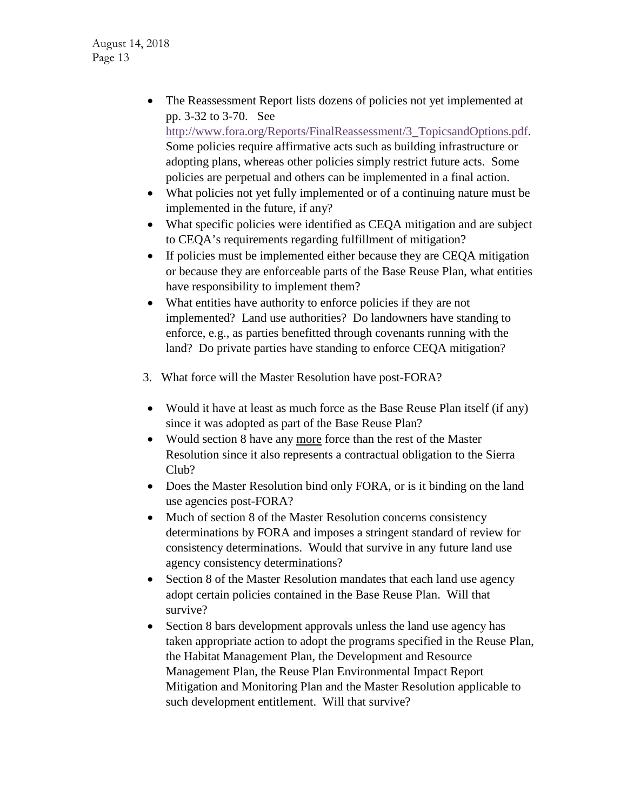• The Reassessment Report lists dozens of policies not yet implemented at pp. 3-32 to 3-70. See [http://www.fora.org/Reports/FinalReassessment/3\\_TopicsandOptions.pdf.](http://www.fora.org/Reports/FinalReassessment/3_TopicsandOptions.pdf) Some policies require affirmative acts such as building infrastructure or

adopting plans, whereas other policies simply restrict future acts. Some policies are perpetual and others can be implemented in a final action.

- What policies not yet fully implemented or of a continuing nature must be implemented in the future, if any?
- What specific policies were identified as CEQA mitigation and are subject to CEQA's requirements regarding fulfillment of mitigation?
- If policies must be implemented either because they are CEOA mitigation or because they are enforceable parts of the Base Reuse Plan, what entities have responsibility to implement them?
- What entities have authority to enforce policies if they are not implemented? Land use authorities? Do landowners have standing to enforce, e.g., as parties benefitted through covenants running with the land? Do private parties have standing to enforce CEQA mitigation?
- 3. What force will the Master Resolution have post-FORA?
- Would it have at least as much force as the Base Reuse Plan itself (if any) since it was adopted as part of the Base Reuse Plan?
- Would section 8 have any more force than the rest of the Master Resolution since it also represents a contractual obligation to the Sierra Club?
- Does the Master Resolution bind only FORA, or is it binding on the land use agencies post-FORA?
- Much of section 8 of the Master Resolution concerns consistency determinations by FORA and imposes a stringent standard of review for consistency determinations. Would that survive in any future land use agency consistency determinations?
- Section 8 of the Master Resolution mandates that each land use agency adopt certain policies contained in the Base Reuse Plan. Will that survive?
- Section 8 bars development approvals unless the land use agency has taken appropriate action to adopt the programs specified in the Reuse Plan, the Habitat Management Plan, the Development and Resource Management Plan, the Reuse Plan Environmental Impact Report Mitigation and Monitoring Plan and the Master Resolution applicable to such development entitlement. Will that survive?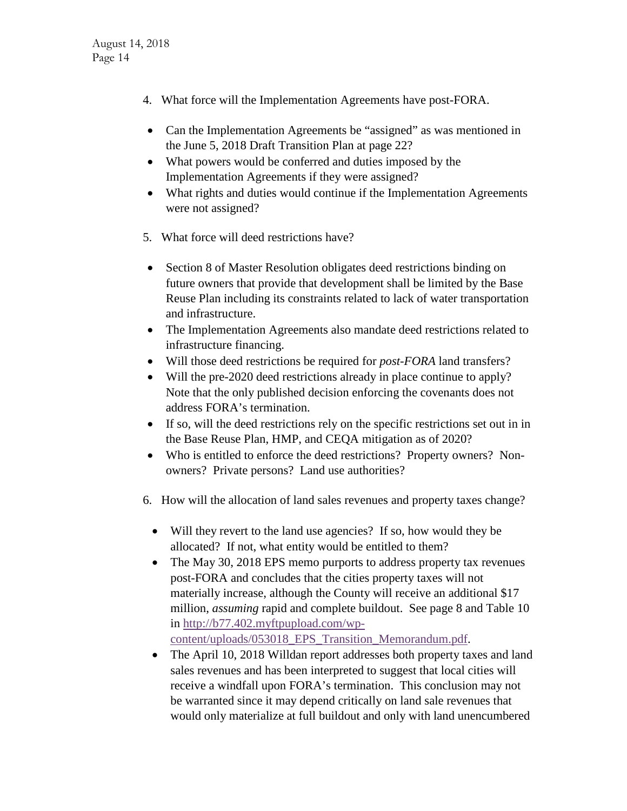- 4. What force will the Implementation Agreements have post-FORA.
- Can the Implementation Agreements be "assigned" as was mentioned in the June 5, 2018 Draft Transition Plan at page 22?
- What powers would be conferred and duties imposed by the Implementation Agreements if they were assigned?
- What rights and duties would continue if the Implementation Agreements were not assigned?
- 5. What force will deed restrictions have?
- Section 8 of Master Resolution obligates deed restrictions binding on future owners that provide that development shall be limited by the Base Reuse Plan including its constraints related to lack of water transportation and infrastructure.
- The Implementation Agreements also mandate deed restrictions related to infrastructure financing.
- Will those deed restrictions be required for *post-FORA* land transfers?
- Will the pre-2020 deed restrictions already in place continue to apply? Note that the only published decision enforcing the covenants does not address FORA's termination.
- If so, will the deed restrictions rely on the specific restrictions set out in in the Base Reuse Plan, HMP, and CEQA mitigation as of 2020?
- Who is entitled to enforce the deed restrictions? Property owners? Nonowners? Private persons? Land use authorities?
- 6. How will the allocation of land sales revenues and property taxes change?
	- Will they revert to the land use agencies? If so, how would they be allocated? If not, what entity would be entitled to them?
	- The May 30, 2018 EPS memo purports to address property tax revenues post-FORA and concludes that the cities property taxes will not materially increase, although the County will receive an additional \$17 million, *assuming* rapid and complete buildout. See page 8 and Table 10 in [http://b77.402.myftpupload.com/wp](http://b77.402.myftpupload.com/wp-content/uploads/053018_EPS_Transition_Memorandum.pdf)[content/uploads/053018\\_EPS\\_Transition\\_Memorandum.pdf.](http://b77.402.myftpupload.com/wp-content/uploads/053018_EPS_Transition_Memorandum.pdf)
	- The April 10, 2018 Willdan report addresses both property taxes and land sales revenues and has been interpreted to suggest that local cities will receive a windfall upon FORA's termination. This conclusion may not be warranted since it may depend critically on land sale revenues that would only materialize at full buildout and only with land unencumbered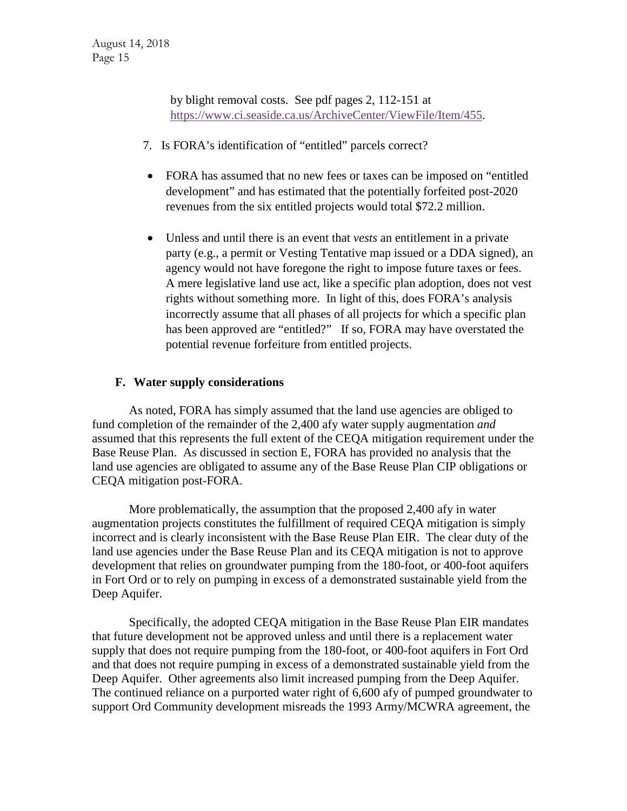by blight removal costs. See pdf pages 2, 112-151 at [https://www.ci.seaside.ca.us/ArchiveCenter/ViewFile/Item/455.](https://www.ci.seaside.ca.us/ArchiveCenter/ViewFile/Item/455)

- 7. Is FORA's identification of "entitled" parcels correct?
- FORA has assumed that no new fees or taxes can be imposed on "entitled" development" and has estimated that the potentially forfeited post-2020 revenues from the six entitled projects would total \$72.2 million.
- Unless and until there is an event that *vests* an entitlement in a private party (e.g., a permit or Vesting Tentative map issued or a DDA signed), an agency would not have foregone the right to impose future taxes or fees. A mere legislative land use act, like a specific plan adoption, does not vest rights without something more. In light of this, does FORA's analysis incorrectly assume that all phases of all projects for which a specific plan has been approved are "entitled?" If so, FORA may have overstated the potential revenue forfeiture from entitled projects.

# **F. Water supply considerations**

As noted, FORA has simply assumed that the land use agencies are obliged to fund completion of the remainder of the 2,400 afy water supply augmentation *and*  assumed that this represents the full extent of the CEQA mitigation requirement under the Base Reuse Plan. As discussed in section E, FORA has provided no analysis that the land use agencies are obligated to assume any of the Base Reuse Plan CIP obligations or CEQA mitigation post-FORA.

More problematically, the assumption that the proposed 2,400 afy in water augmentation projects constitutes the fulfillment of required CEQA mitigation is simply incorrect and is clearly inconsistent with the Base Reuse Plan EIR. The clear duty of the land use agencies under the Base Reuse Plan and its CEQA mitigation is not to approve development that relies on groundwater pumping from the 180-foot, or 400-foot aquifers in Fort Ord or to rely on pumping in excess of a demonstrated sustainable yield from the Deep Aquifer.

Specifically, the adopted CEQA mitigation in the Base Reuse Plan EIR mandates that future development not be approved unless and until there is a replacement water supply that does not require pumping from the 180-foot, or 400-foot aquifers in Fort Ord and that does not require pumping in excess of a demonstrated sustainable yield from the Deep Aquifer. Other agreements also limit increased pumping from the Deep Aquifer. The continued reliance on a purported water right of 6,600 afy of pumped groundwater to support Ord Community development misreads the 1993 Army/MCWRA agreement, the